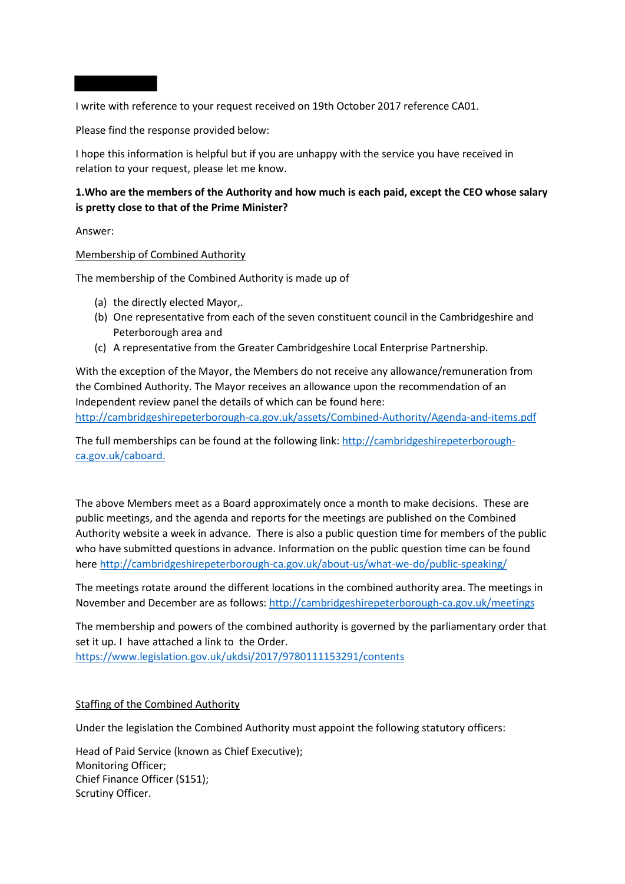I write with reference to your request received on 19th October 2017 reference CA01.

Please find the response provided below:

I hope this information is helpful but if you are unhappy with the service you have received in relation to your request, please let me know.

# **1.Who are the members of the Authority and how much is each paid, except the CEO whose salary is pretty close to that of the Prime Minister?**

Answer:

#### Membership of Combined Authority

The membership of the Combined Authority is made up of

- (a) the directly elected Mayor,.
- (b) One representative from each of the seven constituent council in the Cambridgeshire and Peterborough area and
- (c) A representative from the Greater Cambridgeshire Local Enterprise Partnership.

With the exception of the Mayor, the Members do not receive any allowance/remuneration from the Combined Authority. The Mayor receives an allowance upon the recommendation of an Independent review panel the details of which can be found here:

<http://cambridgeshirepeterborough-ca.gov.uk/assets/Combined-Authority/Agenda-and-items.pdf>

The full memberships can be found at the following link: [http://cambridgeshirepeterborough](http://cambridgeshirepeterborough-ca.gov.uk/caboard)[ca.gov.uk/caboard.](http://cambridgeshirepeterborough-ca.gov.uk/caboard)

The above Members meet as a Board approximately once a month to make decisions. These are public meetings, and the agenda and reports for the meetings are published on the Combined Authority website a week in advance. There is also a public question time for members of the public who have submitted questions in advance. Information on the public question time can be found here <http://cambridgeshirepeterborough-ca.gov.uk/about-us/what-we-do/public-speaking/>

The meetings rotate around the different locations in the combined authority area. The meetings in November and December are as follows: <http://cambridgeshirepeterborough-ca.gov.uk/meetings>

The membership and powers of the combined authority is governed by the parliamentary order that set it up. I have attached a link to the Order. <https://www.legislation.gov.uk/ukdsi/2017/9780111153291/contents>

# Staffing of the Combined Authority

Under the legislation the Combined Authority must appoint the following statutory officers:

Head of Paid Service (known as Chief Executive); Monitoring Officer; Chief Finance Officer (S151); Scrutiny Officer.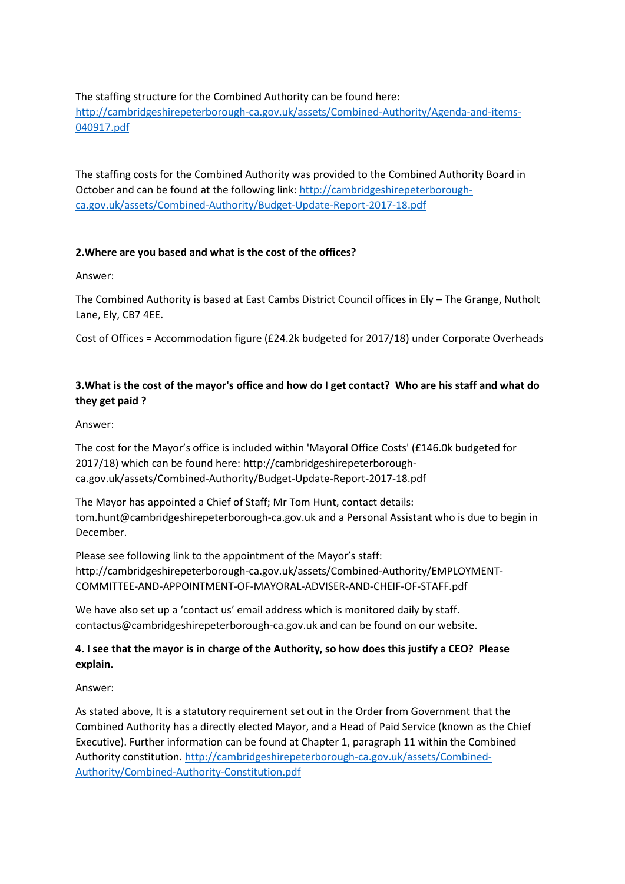### The staffing structure for the Combined Authority can be found here:

[http://cambridgeshirepeterborough-ca.gov.uk/assets/Combined-Authority/Agenda-and-items-](http://cambridgeshirepeterborough-ca.gov.uk/assets/Combined-Authority/Agenda-and-items-040917.pdf)[040917.pdf](http://cambridgeshirepeterborough-ca.gov.uk/assets/Combined-Authority/Agenda-and-items-040917.pdf)

The staffing costs for the Combined Authority was provided to the Combined Authority Board in October and can be found at the following link: [http://cambridgeshirepeterborough](http://cambridgeshirepeterborough-ca.gov.uk/assets/Combined-Authority/Budget-Update-Report-2017-18.pdf)[ca.gov.uk/assets/Combined-Authority/Budget-Update-Report-2017-18.pdf](http://cambridgeshirepeterborough-ca.gov.uk/assets/Combined-Authority/Budget-Update-Report-2017-18.pdf)

# **2.Where are you based and what is the cost of the offices?**

#### Answer:

The Combined Authority is based at East Cambs District Council offices in Ely – The Grange, Nutholt Lane, Ely, CB7 4EE.

Cost of Offices = Accommodation figure (£24.2k budgeted for 2017/18) under Corporate Overheads

# **3.What is the cost of the mayor's office and how do I get contact? Who are his staff and what do they get paid ?**

#### Answer:

The cost for the Mayor's office is included within 'Mayoral Office Costs' (£146.0k budgeted for 2017/18) which can be found here: http://cambridgeshirepeterboroughca.gov.uk/assets/Combined-Authority/Budget-Update-Report-2017-18.pdf

The Mayor has appointed a Chief of Staff; Mr Tom Hunt, contact details: tom.hunt@cambridgeshirepeterborough-ca.gov.uk and a Personal Assistant who is due to begin in December.

Please see following link to the appointment of the Mayor's staff: http://cambridgeshirepeterborough-ca.gov.uk/assets/Combined-Authority/EMPLOYMENT-COMMITTEE-AND-APPOINTMENT-OF-MAYORAL-ADVISER-AND-CHEIF-OF-STAFF.pdf

We have also set up a 'contact us' email address which is monitored daily by staff. contactus@cambridgeshirepeterborough-ca.gov.uk and can be found on our website.

# **4. I see that the mayor is in charge of the Authority, so how does this justify a CEO? Please explain.**

# Answer:

As stated above, It is a statutory requirement set out in the Order from Government that the Combined Authority has a directly elected Mayor, and a Head of Paid Service (known as the Chief Executive). Further information can be found at Chapter 1, paragraph 11 within the Combined Authority constitution. [http://cambridgeshirepeterborough-ca.gov.uk/assets/Combined-](http://cambridgeshirepeterborough-ca.gov.uk/assets/Combined-Authority/Combined-Authority-Constitution.pdf)[Authority/Combined-Authority-Constitution.pdf](http://cambridgeshirepeterborough-ca.gov.uk/assets/Combined-Authority/Combined-Authority-Constitution.pdf)